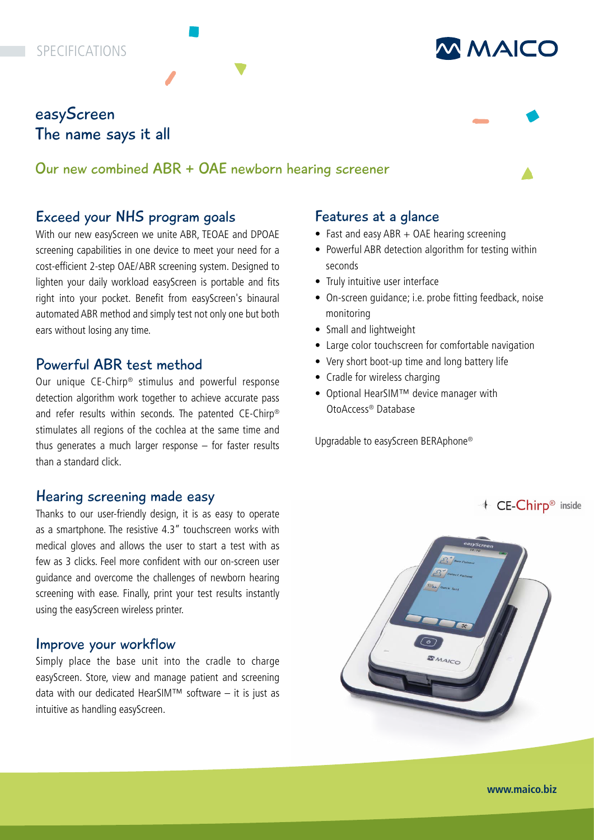# **SPECIFICATIONS**

# easyScreen The name says it all

# Our new combined ABR + OAE newborn hearing screener

# Exceed your NHS program goals

With our new easyScreen we unite ABR, TEOAE and DPOAE screening capabilities in one device to meet your need for a cost-efficient 2-step OAE/ABR screening system. Designed to lighten your daily workload easyScreen is portable and fits right into your pocket. Benefit from easyScreen's binaural automated ABR method and simply test not only one but both ears without losing any time.

# Powerful ABR test method

Our unique CE-Chirp® stimulus and powerful response detection algorithm work together to achieve accurate pass and refer results within seconds. The patented CE-Chirp® stimulates all regions of the cochlea at the same time and thus generates a much larger response – for faster results than a standard click.

## Hearing screening made easy

Thanks to our user-friendly design, it is as easy to operate as a smartphone. The resistive 4.3" touchscreen works with medical gloves and allows the user to start a test with as few as 3 clicks. Feel more confident with our on-screen user guidance and overcome the challenges of newborn hearing screening with ease. Finally, print your test results instantly using the easyScreen wireless printer.

## Improve your workflow

Simply place the base unit into the cradle to charge easyScreen. Store, view and manage patient and screening data with our dedicated HearSIM™ software – it is just as intuitive as handling easyScreen.

### Features at a glance

- Fast and easy ABR + OAE hearing screening
- Powerful ABR detection algorithm for testing within seconds

**MMAICO** 

- Truly intuitive user interface
- On-screen guidance; i.e. probe fitting feedback, noise monitoring
- Small and lightweight
- Large color touchscreen for comfortable navigation
- Very short boot-up time and long battery life
- Cradle for wireless charging
- Optional HearSIM™ device manager with OtoAccess® Database

Upgradable to easyScreen BERAphone®

+ CE-Chirp® inside



**www.maico.biz**